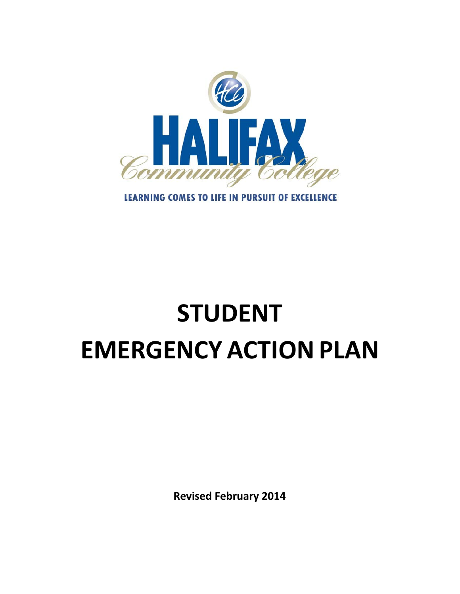

# **LEARNING COMES TO LIFE IN PURSUIT OF EXCELLENCE**

# **STUDENT EMERGENCY ACTION PLAN**

**Revised February 2014**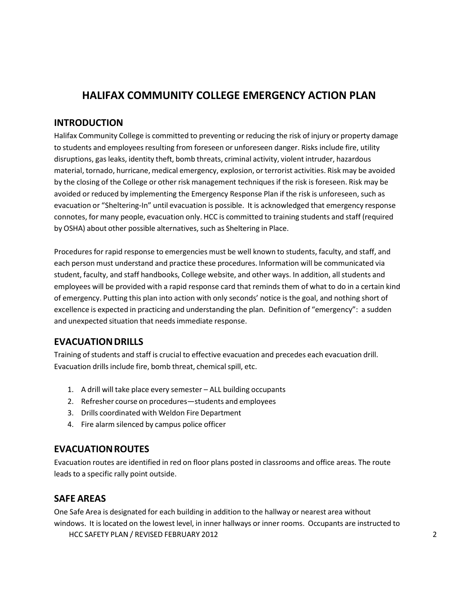# **HALIFAX COMMUNITY COLLEGE EMERGENCY ACTION PLAN**

# **INTRODUCTION**

Halifax Community College is committed to preventing or reducing the risk of injury or property damage to students and employees resulting from foreseen or unforeseen danger. Risks include fire, utility disruptions, gasleaks, identity theft, bomb threats, criminal activity, violent intruder, hazardous material, tornado, hurricane, medical emergency, explosion, or terrorist activities. Risk may be avoided by the closing of the College or other risk management techniques if the risk is foreseen. Risk may be avoided or reduced by implementing the Emergency Response Plan if the risk is unforeseen, such as evacuation or "Sheltering-In" until evacuation is possible. It is acknowledged that emergency response connotes, for many people, evacuation only. HCC is committed to training students and staff (required by OSHA) about other possible alternatives, such as Sheltering in Place.

Procedures for rapid response to emergencies must be well known to students, faculty, and staff, and each person must understand and practice these procedures. Information will be communicated via student, faculty, and staff handbooks, College website, and other ways. In addition, all students and employees will be provided with a rapid response card that reminds them of what to do in a certain kind of emergency. Putting this plan into action with only seconds' notice is the goal, and nothing short of excellence is expected in practicing and understanding the plan. Definition of "emergency": a sudden and unexpected situation that needsimmediate response.

# **EVACUATION DRILLS**

Training of students and staff is crucial to effective evacuation and precedes each evacuation drill. Evacuation drills include fire, bomb threat, chemical spill, etc.

- 1. A drill will take place every semester ALL building occupants
- 2. Refresher course on procedures—students and employees
- 3. Drills coordinated with Weldon Fire Department
- 4. Fire alarm silenced by campus police officer

# **EVACUATIONROUTES**

Evacuation routes are identified in red on floor plans posted in classrooms and office areas. The route leads to a specific rally point outside.

# **SAFE AREAS**

One Safe Area is designated for each building in addition to the hallway or nearest area without windows. It is located on the lowest level, in inner hallways or inner rooms. Occupants are instructed to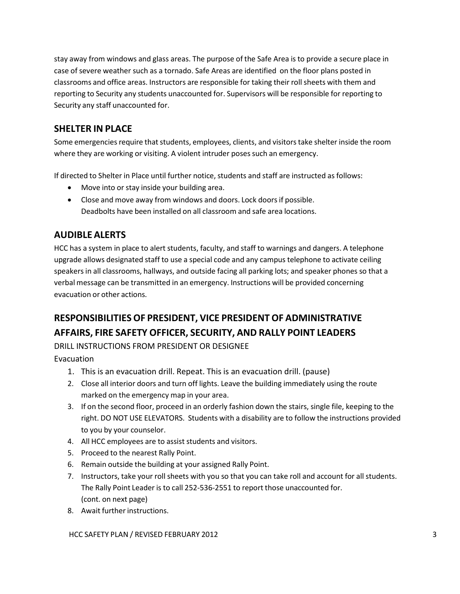stay away from windows and glass areas. The purpose of the Safe Area is to provide a secure place in case of severe weather such as a tornado. Safe Areas are identified on the floor plans posted in classrooms and office areas. Instructors are responsible for taking their rollsheets with them and reporting to Security any students unaccounted for. Supervisors will be responsible for reporting to Security any staff unaccounted for.

# **SHELTER IN PLACE**

Some emergencies require that students, employees, clients, and visitors take shelter inside the room where they are working or visiting. A violent intruder poses such an emergency.

If directed to Shelter in Place until further notice, students and staff are instructed as follows:

- Move into or stay inside your building area.
- Close and move away from windows and doors. Lock doors if possible. Deadbolts have been installed on all classroom and safe area locations.

# **AUDIBLE ALERTS**

HCC has a system in place to alert students, faculty, and staff to warnings and dangers. A telephone upgrade allows designated staff to use a special code and any campus telephone to activate ceiling speakersin all classrooms, hallways, and outside facing all parking lots; and speaker phones so that a verbal message can be transmitted in an emergency. Instructions will be provided concerning evacuation or other actions.

# **RESPONSIBILITIESOF PRESIDENT, VICE PRESIDENT OF ADMINISTRATIVE AFFAIRS, FIRE SAFETY OFFICER, SECURITY, AND RALLY POINT LEADERS**

DRILL INSTRUCTIONS FROM PRESIDENT OR DESIGNEE

Evacuation

- 1. This is an evacuation drill. Repeat. This is an evacuation drill. (pause)
- 2. Close all interior doors and turn off lights. Leave the building immediately using the route marked on the emergency map in your area.
- 3. If on the second floor, proceed in an orderly fashion down the stairs, single file, keeping to the right. DO NOT USE ELEVATORS. Students with a disability are to follow the instructions provided to you by your counselor.
- 4. All HCC employees are to assist students and visitors.
- 5. Proceed to the nearest Rally Point.
- 6. Remain outside the building at your assigned Rally Point.
- 7. Instructors, take your rollsheets with you so that you can take roll and account for all students. The Rally Point Leader is to call 252‐536‐2551 to report those unaccounted for. (cont. on next page)
- 8. Await further instructions.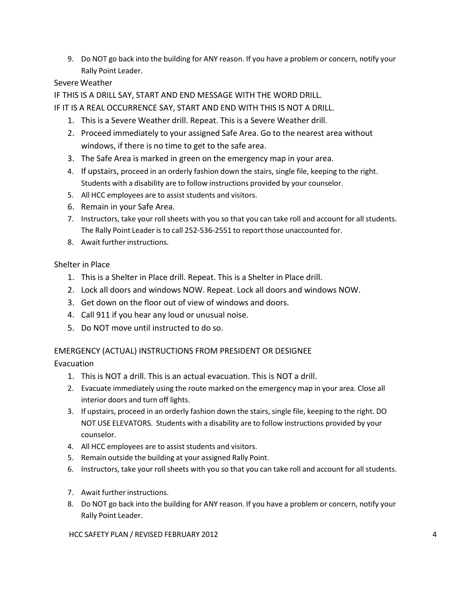9. Do NOT go back into the building for ANY reason. If you have a problem or concern, notify your Rally Point Leader.

# Severe Weather

IF THIS IS A DRILL SAY, START AND END MESSAGE WITH THE WORD DRILL.

IF IT IS A REAL OCCURRENCE SAY, START AND END WITH THIS IS NOT A DRILL.

- 1. This is a Severe Weather drill. Repeat. This is a Severe Weather drill.
- 2. Proceed immediately to your assigned Safe Area. Go to the nearest area without windows, if there is no time to get to the safe area.
- 3. The Safe Area is marked in green on the emergency map in your area.
- 4. If upstairs, proceed in an orderly fashion down the stairs, single file, keeping to the right. Students with a disability are to follow instructions provided by your counselor.
- 5. All HCC employees are to assist students and visitors.
- 6. Remain in your Safe Area.
- 7. Instructors, take your roll sheets with you so that you can take roll and account for all students. The Rally Point Leader is to call 252‐536‐2551 to report those unaccounted for.
- 8. Await further instructions.

# Shelter in Place

- 1. This is a Shelter in Place drill. Repeat. This is a Shelter in Place drill.
- 2. Lock all doors and windows NOW. Repeat. Lock all doors and windows NOW.
- 3. Get down on the floor out of view of windows and doors.
- 4. Call 911 if you hear any loud or unusual noise.
- 5. Do NOT move until instructed to do so.

# EMERGENCY (ACTUAL) INSTRUCTIONS FROM PRESIDENT OR DESIGNEE

Evacuation

- 1. This is NOT a drill. This is an actual evacuation. This is NOT a drill.
- 2. Evacuate immediately using the route marked on the emergency map in your area. Close all interior doors and turn off lights.
- 3. If upstairs, proceed in an orderly fashion down the stairs, single file, keeping to the right. DO NOT USE ELEVATORS. Students with a disability are to follow instructions provided by your counselor.
- 4. All HCC employees are to assist students and visitors.
- 5. Remain outside the building at your assigned Rally Point.
- 6. Instructors, take your rollsheets with you so that you can take roll and account for all students.
- 7. Await further instructions.
- 8. Do NOT go back into the building for ANY reason. If you have a problem or concern, notify your Rally Point Leader.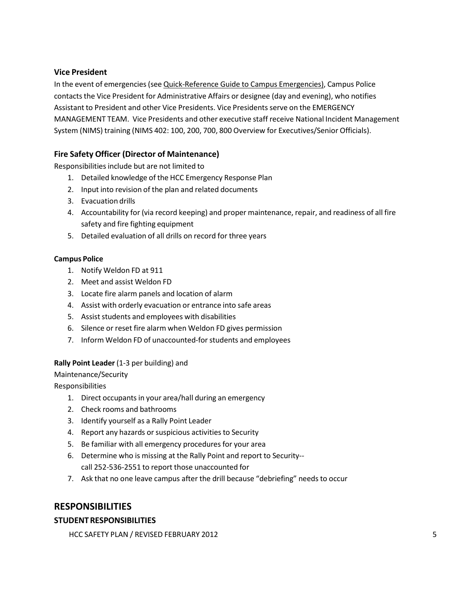#### **Vice President**

In the event of emergencies(see Quick‐Reference Guide to Campus Emergencies), Campus Police contacts the Vice President for Administrative Affairs or designee (day and evening), who notifies Assistant to President and other Vice Presidents. Vice Presidents serve on the EMERGENCY MANAGEMENT TEAM. Vice Presidents and other executive staff receive National Incident Management System (NIMS) training (NIMS 402: 100, 200, 700, 800 Overview for Executives/Senior Officials).

# **Fire Safety Officer (Director of Maintenance)**

Responsibilities include but are not limited to

- 1. Detailed knowledge of the HCC Emergency Response Plan
- 2. Input into revision of the plan and related documents
- 3. Evacuation drills
- 4. Accountability for (via record keeping) and proper maintenance, repair, and readiness of all fire safety and fire fighting equipment
- 5. Detailed evaluation of all drills on record for three years

#### **Campus Police**

- 1. Notify Weldon FD at 911
- 2. Meet and assist Weldon FD
- 3. Locate fire alarm panels and location of alarm
- 4. Assist with orderly evacuation or entrance into safe areas
- 5. Assist students and employees with disabilities
- 6. Silence or reset fire alarm when Weldon FD gives permission
- 7. Inform Weldon FD of unaccounted-for students and employees

#### **Rally Point Leader** (1‐3 per building) and

Maintenance/Security

Responsibilities

- 1. Direct occupants in your area/hall during an emergency
- 2. Check rooms and bathrooms
- 3. Identify yourself as a Rally Point Leader
- 4. Report any hazards or suspicious activities to Security
- 5. Be familiar with all emergency procedures for your area
- 6. Determine who is missing at the Rally Point and report to Security‐‐ call 252‐536‐2551 to report those unaccounted for
- 7. Ask that no one leave campus after the drill because "debriefing" needs to occur

# **RESPONSIBILITIES**

#### **STUDENTRESPONSIBILITIES**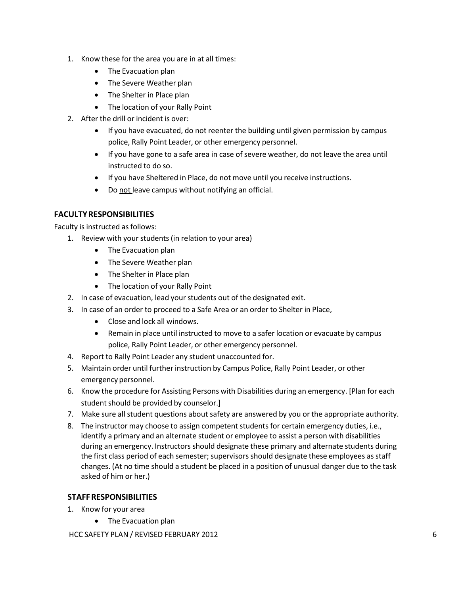- 1. Know these for the area you are in at all times:
	- The Evacuation plan
	- The Severe Weather plan
	- The Shelter in Place plan
	- The location of your Rally Point
- 2. After the drill or incident is over:
	- If you have evacuated, do not reenter the building until given permission by campus police, Rally Point Leader, or other emergency personnel.
	- If you have gone to a safe area in case of severe weather, do not leave the area until instructed to do so.
	- If you have Sheltered in Place, do not move until you receive instructions.
	- Do not leave campus without notifying an official.

# **FACULTYRESPONSIBILITIES**

Faculty is instructed as follows:

- 1. Review with your students (in relation to your area)
	- The Evacuation plan
	- The Severe Weather plan
	- The Shelter in Place plan
	- The location of your Rally Point
- 2. In case of evacuation, lead your students out of the designated exit.
- 3. In case of an order to proceed to a Safe Area or an order to Shelter in Place,
	- Close and lock all windows.
	- Remain in place until instructed to move to a safer location or evacuate by campus police, Rally Point Leader, or other emergency personnel.
- 4. Report to Rally Point Leader any student unaccounted for.
- 5. Maintain order until further instruction by Campus Police, Rally Point Leader, or other emergency personnel.
- 6. Know the procedure for Assisting Persons with Disabilities during an emergency. [Plan for each student should be provided by counselor.]
- 7. Make sure all student questions about safety are answered by you or the appropriate authority.
- 8. The instructor may choose to assign competent students for certain emergency duties, i.e., identify a primary and an alternate student or employee to assist a person with disabilities during an emergency. Instructors should designate these primary and alternate students during the first class period of each semester; supervisors should designate these employees as staff changes. (At no time should a student be placed in a position of unusual danger due to the task asked of him or her.)

#### **STAFFRESPONSIBILITIES**

- 1. Know for your area
	- The Evacuation plan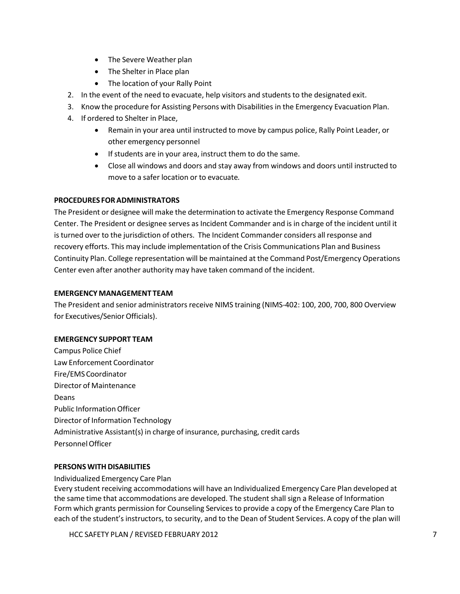- The Severe Weather plan
- The Shelter in Place plan
- The location of your Rally Point
- 2. In the event of the need to evacuate, help visitors and students to the designated exit.
- 3. Know the procedure for Assisting Persons with Disabilities in the Emergency Evacuation Plan.
- 4. If ordered to Shelter in Place,
	- Remain in your area until instructed to move by campus police, Rally Point Leader, or other emergency personnel
	- Ifstudents are in your area, instruct them to do the same.
	- Close all windows and doors and stay away from windows and doors until instructed to move to a safer location or to evacuate*.*

#### **PROCEDURES FORADMINISTRATORS**

The President or designee will make the determination to activate the Emergency Response Command Center. The President or designee serves as Incident Commander and is in charge of the incident until it is turned over to the jurisdiction of others. The Incident Commander considers all response and recovery efforts. This may include implementation of the Crisis Communications Plan and Business Continuity Plan. College representation will be maintained at the Command Post/Emergency Operations Center even after another authority may have taken command of the incident.

#### **EMERGENCY MANAGEMENT TEAM**

The President and senior administrators receive NIMS training (NIMS‐402: 100, 200, 700, 800 Overview for Executives/Senior Officials).

#### **EMERGENCY SUPPORT TEAM**

Campus Police Chief Law Enforcement Coordinator Fire/EMS Coordinator Director of Maintenance Deans Public Information Officer Director of Information Technology Administrative Assistant(s) in charge of insurance, purchasing, credit cards Personnel Officer

#### **PERSONS WITH DISABILITIES**

Individualized Emergency Care Plan

Every student receiving accommodations will have an Individualized Emergency Care Plan developed at the same time that accommodations are developed. The student shall sign a Release of Information Form which grants permission for Counseling Services to provide a copy of the Emergency Care Plan to each of the student's instructors, to security, and to the Dean of Student Services. A copy of the plan will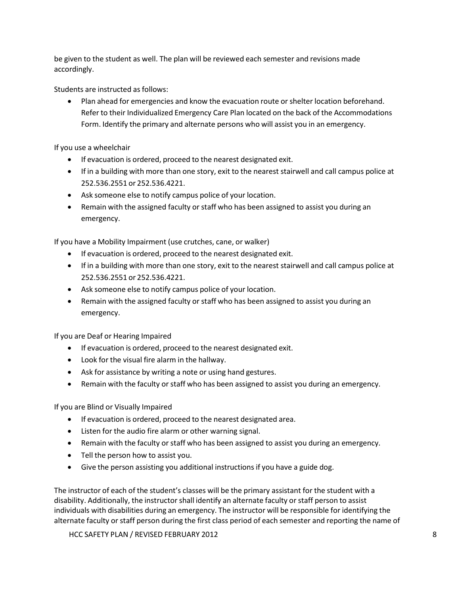be given to the student as well. The plan will be reviewed each semester and revisions made accordingly.

Students are instructed as follows:

• Plan ahead for emergencies and know the evacuation route or shelter location beforehand. Refer to their Individualized Emergency Care Plan located on the back of the Accommodations Form. Identify the primary and alternate persons who will assist you in an emergency.

If you use a wheelchair

- If evacuation is ordered, proceed to the nearest designated exit.
- If in a building with more than one story, exit to the nearest stairwell and call campus police at 252.536.2551 or 252.536.4221.
- Ask someone else to notify campus police of your location.
- Remain with the assigned faculty or staff who has been assigned to assist you during an emergency.

If you have a Mobility Impairment (use crutches, cane, or walker)

- If evacuation is ordered, proceed to the nearest designated exit.
- If in a building with more than one story, exit to the nearest stairwell and call campus police at 252.536.2551 or 252.536.4221.
- Ask someone else to notify campus police of your location.
- Remain with the assigned faculty or staff who has been assigned to assist you during an emergency.

If you are Deaf or Hearing Impaired

- If evacuation is ordered, proceed to the nearest designated exit.
- Look for the visual fire alarm in the hallway.
- Ask for assistance by writing a note or using hand gestures.
- Remain with the faculty or staff who has been assigned to assist you during an emergency.

If you are Blind or Visually Impaired

- If evacuation is ordered, proceed to the nearest designated area.
- Listen for the audio fire alarm or other warning signal.
- Remain with the faculty or staff who has been assigned to assist you during an emergency.
- Tell the person how to assist you.
- Give the person assisting you additional instructions if you have a guide dog.

The instructor of each of the student's classes will be the primary assistant for the student with a disability. Additionally, the instructorshall identify an alternate faculty orstaff person to assist individuals with disabilities during an emergency. The instructor will be responsible for identifying the alternate faculty or staff person during the first class period of each semester and reporting the name of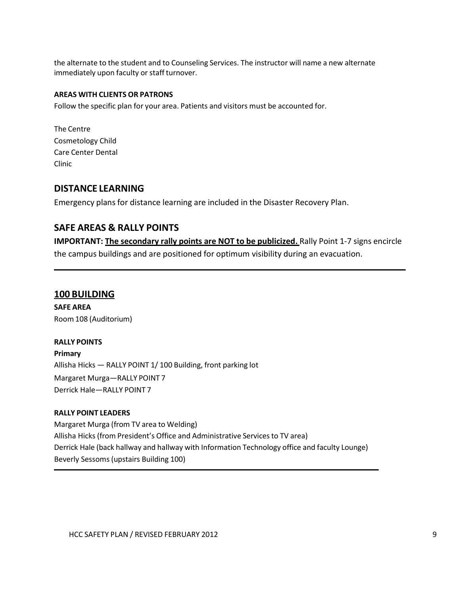the alternate to the student and to Counseling Services. The instructor will name a new alternate immediately upon faculty or staff turnover.

#### **AREAS WITH CLIENTS OR PATRONS**

Follow the specific plan for your area. Patients and visitors must be accounted for.

The Centre Cosmetology Child Care Center Dental Clinic

#### **DISTANCE LEARNING**

Emergency plans for distance learning are included in the Disaster Recovery Plan.

# **SAFE AREAS & RALLY POINTS**

**IMPORTANT: The secondary rally points are NOT to be publicized.** Rally Point 1‐7 signs encircle the campus buildings and are positioned for optimum visibility during an evacuation.

#### **100 BUILDING**

**SAFE AREA** Room 108 (Auditorium)

#### **RALLY POINTS**

**Primary** Allisha Hicks — RALLY POINT 1/ 100 Building, front parking lot Margaret Murga—RALLY POINT 7 Derrick Hale—RALLY POINT 7

#### **RALLY POINT LEADERS**

Margaret Murga (from TV area to Welding) Allisha Hicks(from President's Office and Administrative Servicesto TV area) Derrick Hale (back hallway and hallway with Information Technology office and faculty Lounge) Beverly Sessoms(upstairs Building 100)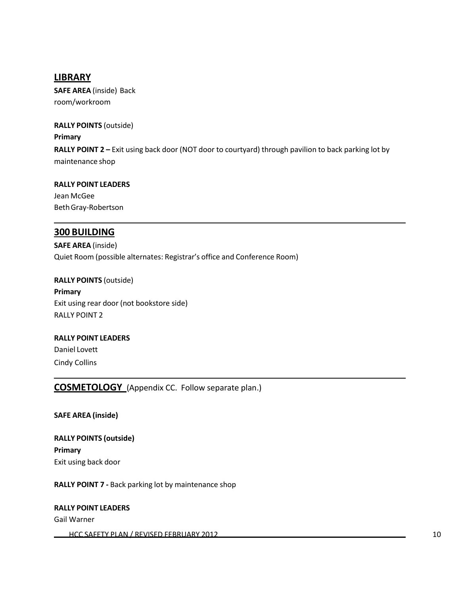# **LIBRARY**

**SAFE AREA** (inside) Back room/workroom

**RALLY POINTS** (outside) **Primary RALLY POINT 2 –** Exit using back door (NOT door to courtyard) through pavilion to back parking lot by maintenance shop

**RALLY POINT LEADERS** Jean McGee BethGray‐Robertson

# **300 BUILDING**

**SAFE AREA** (inside) Quiet Room (possible alternates: Registrar's office and Conference Room)

**RALLY POINTS** (outside) **Primary** Exit using rear door (not bookstore side) RALLY POINT 2

# **RALLY POINT LEADERS** Daniel Lovett Cindy Collins

**COSMETOLOGY** (Appendix CC. Follow separate plan.)

**SAFE AREA (inside)**

**RALLY POINTS (outside) Primary** Exit using back door

**RALLY POINT 7 ‐** Back parking lot by maintenance shop

#### **RALLY POINT LEADERS**

Gail Warner

HCC SAFETY PLAN / REVISED FEBRUARY 2012 2002 10 2003 10:00 10:00 10:00 10:00 10:00 10:00 10:00 10:00 10:00 10:00 10:00 10:00 10:00 10:00 10:00 10:00 10:00 10:00 10:00 10:00 10:00 10:00 10:00 10:00 10:00 10:00 10:00 10:00 1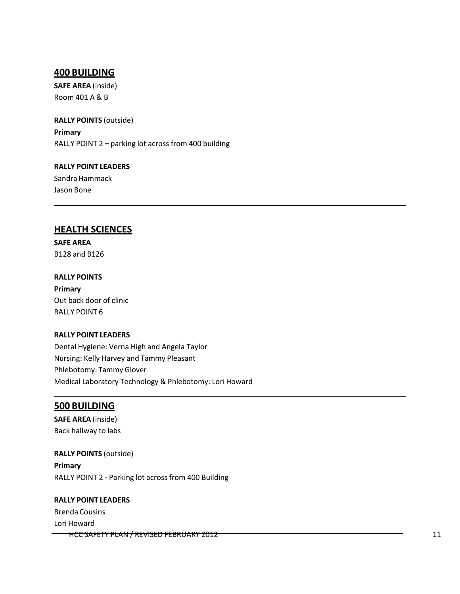#### **400 BUILDING**

**SAFE AREA** (inside) Room 401 A & B

**RALLY POINTS** (outside) **Primary** RALLY POINT 2 **–** parking lot across from 400 building

**RALLY POINT LEADERS** Sandra Hammack Jason Bone

#### **HEALTH SCIENCES**

**SAFE AREA** B128 and B126

**RALLY POINTS Primary** Out back door of clinic RALLY POINT 6

#### **RALLY POINT LEADERS**

Dental Hygiene: Verna High and Angela Taylor Nursing: Kelly Harvey and Tammy Pleasant Phlebotomy: Tammy Glover Medical Laboratory Technology & Phlebotomy: Lori Howard

#### **500 BUILDING**

**SAFE AREA** (inside) Back hallway to labs

**RALLY POINTS** (outside) **Primary** RALLY POINT 2 **‐** Parking lot across from 400 Building

#### **RALLY POINT LEADERS**

Brenda Cousins Lori Howard HCC SAFETY PLAN / REVISED FEBRUARY 2012 **11** 11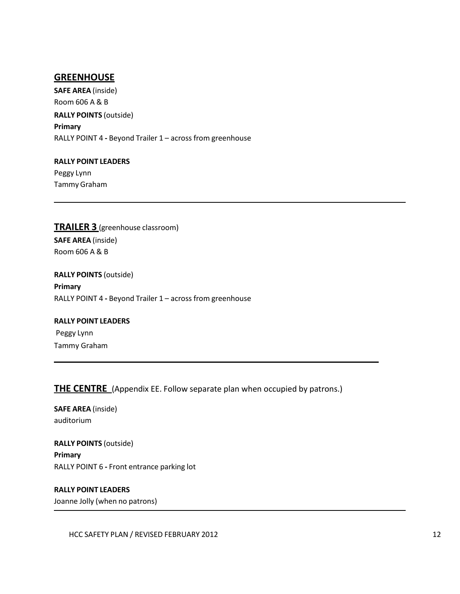# **GREENHOUSE**

**SAFE AREA** (inside) Room 606 A & B **RALLY POINTS** (outside) **Primary** RALLY POINT 4 **‐** Beyond Trailer 1 – across from greenhouse

**RALLY POINT LEADERS** Peggy Lynn Tammy Graham

**TRAILER 3** (greenhouse classroom) **SAFE AREA** (inside) Room 606 A & B

**RALLY POINTS** (outside) **Primary** RALLY POINT 4 **‐** Beyond Trailer 1 – across from greenhouse

# **RALLY POINT LEADERS** Peggy Lynn Tammy Graham

**THE CENTRE** (Appendix EE. Follow separate plan when occupied by patrons.)

**SAFE AREA** (inside) auditorium

**RALLY POINTS** (outside) **Primary** RALLY POINT 6 **‐** Front entrance parking lot

**RALLY POINT LEADERS** Joanne Jolly (when no patrons)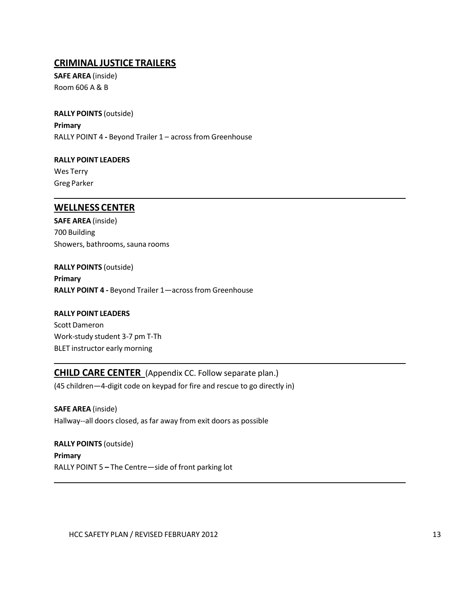# **CRIMINAL JUSTICE TRAILERS**

**SAFE AREA** (inside) Room 606 A & B

**RALLY POINTS** (outside) **Primary** RALLY POINT 4 **‐** Beyond Trailer 1 – across from Greenhouse

**RALLY POINT LEADERS** Wes Terry Greg Parker

#### **WELLNESS CENTER**

**SAFE AREA** (inside) 700 Building Showers, bathrooms, sauna rooms

**RALLY POINTS** (outside) **Primary RALLY POINT 4 ‐** Beyond Trailer 1—across from Greenhouse

**RALLY POINT LEADERS** Scott Dameron Work‐study student 3‐7 pm T‐Th BLET instructor early morning

**CHILD CARE CENTER** (Appendix CC. Follow separate plan.) (45 children—4‐digit code on keypad for fire and rescue to go directly in)

**SAFE AREA** (inside) Hallway--all doors closed, as far away from exit doors as possible

**RALLY POINTS** (outside) **Primary** RALLY POINT 5 **–** The Centre—side of front parking lot